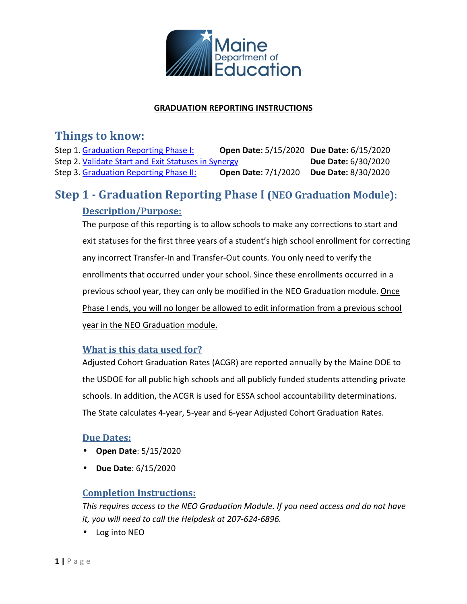

#### **GRADUATION REPORTING INSTRUCTIONS**

## **Things to know:**

Step 1. Graduation Reporting Phase I: **Open Date:** 5/15/2020 **Due Date:** 6/15/2020 Step 2. Validate Start and Exit Statuses in Synergy **Due Date:** 6/30/2020 Step 3. Graduation Reporting Phase II: **Open Date:** 7/1/2020 **Due Date:** 8/30/2020

# **Step 1 - Graduation Reporting Phase I (NEO Graduation Module): Description/Purpose:**

The purpose of this reporting is to allow schools to make any corrections to start and exit statuses for the first three years of a student's high school enrollment for correcting any incorrect Transfer-In and Transfer-Out counts. You only need to verify the enrollments that occurred under your school. Since these enrollments occurred in a previous school year, they can only be modified in the NEO Graduation module. Once Phase I ends, you will no longer be allowed to edit information from a previous school year in the NEO Graduation module.

### **What is this data used for?**

Adjusted Cohort Graduation Rates (ACGR) are reported annually by the Maine DOE to the USDOE for all public high schools and all publicly funded students attending private schools. In addition, the ACGR is used for ESSA school accountability determinations. The State calculates 4-year, 5-year and 6-year Adjusted Cohort Graduation Rates.

### **Due Dates:**

- **Open Date**: 5/15/2020
- **Due Date**: 6/15/2020

### **Completion Instructions:**

*This requires access to the NEO Graduation Module. If you need access and do not have it, you will need to call the Helpdesk at 207-624-6896.* 

• Log into NEO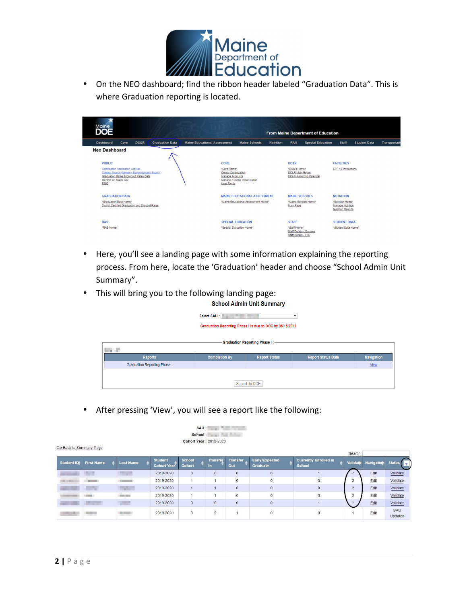

• On the NEO dashboard; find the ribbon header labeled "Graduation Data". This is where Graduation reporting is located.

| Maine<br><b>DOE</b>                                                                                                                                                    |                        |                                                                                                             |                  |                                                              | <b>From Maine Department of Education</b> |                                                           |                     |               |
|------------------------------------------------------------------------------------------------------------------------------------------------------------------------|------------------------|-------------------------------------------------------------------------------------------------------------|------------------|--------------------------------------------------------------|-------------------------------------------|-----------------------------------------------------------|---------------------|---------------|
| DC&R<br>Dashboard<br>Core                                                                                                                                              | <b>Graduation Data</b> | <b>Maine Educational Assessment</b><br><b>Maine Schools</b>                                                 | <b>Nutrition</b> | <b>RAS</b>                                                   | <b>Special Education</b>                  | <b>Staff</b>                                              | <b>Student Data</b> | Transportatio |
| <b>Neo Dashboard</b>                                                                                                                                                   |                        |                                                                                                             |                  |                                                              |                                           |                                                           |                     |               |
| <b>PUBLIC</b>                                                                                                                                                          |                        | CORE                                                                                                        |                  | <b>DC&amp;R</b>                                              |                                           | <b>FACILITIES</b>                                         |                     |               |
| Certification Application Lookup<br>Contact Search (formerly Superintendent Search)<br>Graduation Rates & Dropout Rates Data<br>MeDOE on Maine.gov<br>P <sub>100</sub> |                        | "Core Home"<br>Create Organization<br>Manage Accounts<br>Manage Existing Organization<br><b>User Rights</b> |                  | *DC&R Home*<br>DC&R Main Report                              | <b>DC&amp;R Reporting Calendar</b>        | EFF-10 Instructions                                       |                     |               |
| <b>GRADUATION DATA</b>                                                                                                                                                 |                        | <b>MAINE EDUCATIONAL ASSESSMENT</b>                                                                         |                  | <b>MAINE SCHOOLS</b>                                         |                                           | <b>NUTRITION</b>                                          |                     |               |
| "Graduation Data Home"<br>District Certified Graduation and Dropout Rates                                                                                              |                        | "Maine Educational Assessment Home"                                                                         |                  | "Maine Schools Home"<br>Main Page                            |                                           | "Nutrition Home"<br>Manage Nutrition<br>Nutrition Reports |                     |               |
| <b>RAS</b>                                                                                                                                                             |                        | <b>SPECIAL EDUCATION</b>                                                                                    |                  | <b>STAFF</b>                                                 |                                           | <b>STUDENT DATA</b>                                       |                     |               |
| "RAS Home"                                                                                                                                                             |                        | "Special Education Home"                                                                                    |                  | "Staff Home"<br>Staff Details - Courses<br>Cleff Details FTF |                                           | "Student Data Home"                                       |                     |               |

- Here, you'll see a landing page with some information explaining the reporting process. From here, locate the 'Graduation' header and choose "School Admin Unit Summary".
- This will bring you to the following landing page:

**School Admin Unit Summary** 

|                                     | Select SAU : New York 1999 | Graduation Reporting Phase I is due to DOE by 05/15/2019 |                           |                   |  |  |  |  |  |
|-------------------------------------|----------------------------|----------------------------------------------------------|---------------------------|-------------------|--|--|--|--|--|
| <b>STATE</b>                        |                            | -Graduation Reporting Phase I:-                          |                           |                   |  |  |  |  |  |
| <b>Reports</b>                      | <b>Completion By</b>       | <b>Report Status</b>                                     | <b>Report Status Date</b> | <b>Navigation</b> |  |  |  |  |  |
| <b>Graduation Reporting Phase I</b> |                            |                                                          |                           | <b>View</b>       |  |  |  |  |  |
| Submit To DOE                       |                            |                                                          |                           |                   |  |  |  |  |  |

• After pressing 'View', you will see a report like the following:

|                          | ■ 图 号 号 号<br>SAU:<br>School: <b>Andrew School</b><br>Cohort Year: 2019-2020 |  |                                             |  |                                      |                         |  |                              |                        |                            |                                        |                |            |                                          |
|--------------------------|-----------------------------------------------------------------------------|--|---------------------------------------------|--|--------------------------------------|-------------------------|--|------------------------------|------------------------|----------------------------|----------------------------------------|----------------|------------|------------------------------------------|
| Go Back to Summary Page  |                                                                             |  |                                             |  |                                      |                         |  |                              |                        |                            |                                        | Search:        |            |                                          |
| Student ID               | <b>First Name</b>                                                           |  | <b>Last Name</b>                            |  | <b>Student</b><br><b>Cohort Year</b> | <b>School</b><br>Cohort |  | <b>Transfer</b><br><b>In</b> | <b>Transfer</b><br>Out | Early/Expected<br>Graduate | <b>Currently Enrolled in</b><br>School | Validate       | Navigation | <b>Status</b><br>$\overline{\mathbf{v}}$ |
|                          | <b>The State</b>                                                            |  | <b>Contract Contract</b>                    |  | 2019-2020                            | $\circ$                 |  | $\overline{0}$               | $\circ$                | $\circ$                    |                                        | $-1$           | Edit       | Validate                                 |
| <b>COLLEGE AND STATE</b> | <b>Common</b>                                                               |  | <b>Contract Contract Contract</b>           |  | 2019-2020                            | $\overline{1}$          |  |                              | $\mathbf{0}$           | $\mathbf{0}$               | 0                                      | $\overline{c}$ | Edit       | Validate                                 |
|                          | mu                                                                          |  | <b>CONTRACTOR</b>                           |  | 2019-2020                            |                         |  |                              | $\circ$                | $\mathbf{0}$               | $\circ$                                | $\overline{2}$ | Edit       | Validate                                 |
|                          |                                                                             |  | <b>COLLECTION</b>                           |  | 2019-2020                            | $\overline{1}$          |  |                              | $\mathbf{0}$           | $\mathbf{0}$               | $\circ$                                | $\overline{c}$ | Edit       | Validate                                 |
|                          | m                                                                           |  | <b>The Contract</b>                         |  | 2019-2020                            | $\circ$                 |  | $\overline{0}$               | $\circ$                | $\circ$                    |                                        | $-1$           | Edit       | Validate                                 |
|                          | $-11 - 11$                                                                  |  | <b>College College</b><br><b>Contractor</b> |  | 2019-2020                            | $\circ$                 |  | $\overline{\mathbf{c}}$      | 72                     | $\circ$                    | 0                                      |                | Edit       | SAU<br>Updated                           |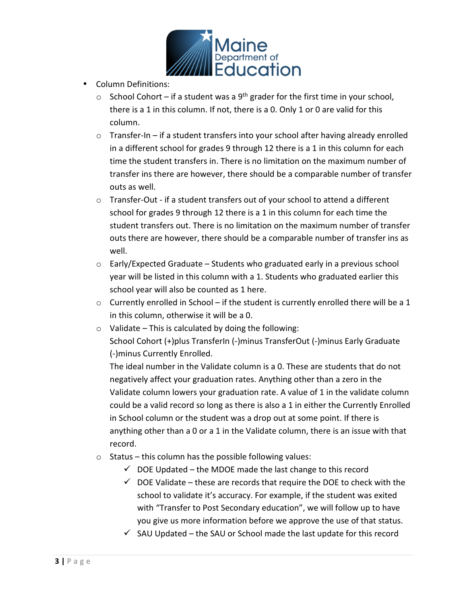

- Column Definitions:
	- $\circ$  School Cohort if a student was a 9<sup>th</sup> grader for the first time in your school, there is a 1 in this column. If not, there is a 0. Only 1 or 0 are valid for this column.
	- $\circ$  Transfer-In if a student transfers into your school after having already enrolled in a different school for grades 9 through 12 there is a 1 in this column for each time the student transfers in. There is no limitation on the maximum number of transfer ins there are however, there should be a comparable number of transfer outs as well.
	- $\circ$  Transfer-Out if a student transfers out of your school to attend a different school for grades 9 through 12 there is a 1 in this column for each time the student transfers out. There is no limitation on the maximum number of transfer outs there are however, there should be a comparable number of transfer ins as well.
	- o Early/Expected Graduate Students who graduated early in a previous school year will be listed in this column with a 1. Students who graduated earlier this school year will also be counted as 1 here.
	- $\circ$  Currently enrolled in School if the student is currently enrolled there will be a 1 in this column, otherwise it will be a 0.
	- $\circ$  Validate This is calculated by doing the following: School Cohort (+)plus TransferIn (-)minus TransferOut (-)minus Early Graduate (-)minus Currently Enrolled.

The ideal number in the Validate column is a 0. These are students that do not negatively affect your graduation rates. Anything other than a zero in the Validate column lowers your graduation rate. A value of 1 in the validate column could be a valid record so long as there is also a 1 in either the Currently Enrolled in School column or the student was a drop out at some point. If there is anything other than a 0 or a 1 in the Validate column, there is an issue with that record.

- $\circ$  Status this column has the possible following values:
	- $\checkmark$  DOE Updated the MDOE made the last change to this record
	- $\checkmark$  DOE Validate these are records that require the DOE to check with the school to validate it's accuracy. For example, if the student was exited with "Transfer to Post Secondary education", we will follow up to have you give us more information before we approve the use of that status.
	- $\checkmark$  SAU Updated the SAU or School made the last update for this record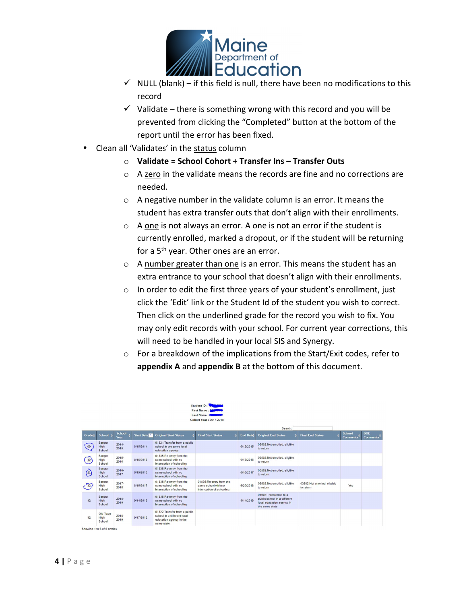

- $\checkmark$  NULL (blank) if this field is null, there have been no modifications to this record
- $\checkmark$  Validate there is something wrong with this record and you will be prevented from clicking the "Completed" button at the bottom of the report until the error has been fixed.
- Clean all 'Validates' in the status column
	- o **Validate = School Cohort + Transfer Ins Transfer Outs**
	- o A zero in the validate means the records are fine and no corrections are needed.
	- o A negative number in the validate column is an error. It means the student has extra transfer outs that don't align with their enrollments.
	- o A one is not always an error. A one is not an error if the student is currently enrolled, marked a dropout, or if the student will be returning for a 5<sup>th</sup> year. Other ones are an error.
	- o A number greater than one is an error. This means the student has an extra entrance to your school that doesn't align with their enrollments.
	- o In order to edit the first three years of your student's enrollment, just click the 'Edit' link or the Student Id of the student you wish to correct. Then click on the underlined grade for the record you wish to fix. You may only edit records with your school. For current year corrections, this will need to be handled in your local SIS and Synergy.
	- o For a breakdown of the implications from the Start/Exit codes, refer to **appendix A** and **appendix B** at the bottom of this document.

|                                                           | First Name: I<br><b>Last Name:</b> J<br><b>Cohort Year: 2017-2018</b> |                       |            |                                                                                                       |                                                                             |                  |                                                                                                        |                                            |                                  |                               |  |  |
|-----------------------------------------------------------|-----------------------------------------------------------------------|-----------------------|------------|-------------------------------------------------------------------------------------------------------|-----------------------------------------------------------------------------|------------------|--------------------------------------------------------------------------------------------------------|--------------------------------------------|----------------------------------|-------------------------------|--|--|
|                                                           | Search:                                                               |                       |            |                                                                                                       |                                                                             |                  |                                                                                                        |                                            |                                  |                               |  |  |
| <b>Grade</b> #                                            | School $\triangleq$                                                   | <b>School</b><br>Year | Start Date | <b>Original Start Status</b>                                                                          | <b>Final Start Status</b>                                                   | <b>End Date:</b> | <b>Original End Status</b>                                                                             | <b>Final End Status</b>                    | <b>School</b><br><b>Comments</b> | <b>DOE</b><br><b>Comments</b> |  |  |
| 09                                                        | Bangor<br>High<br>School                                              | $2014 -$<br>2015      | 8/15/2014  | 01821: Transfer from a public<br>school in the same local<br>education agency                         |                                                                             | 6/12/2015        | 03502:Not enrolled, eligible<br>to return                                                              |                                            |                                  |                               |  |  |
| $\frac{10}{ }$                                            | Bangor<br>High<br>School                                              | $2015 -$<br>2016      | 8/15/2015  | 01835:Re-entry from the<br>same school with no<br>interruption of schooling                           |                                                                             | 6/13/2016        | 03502:Not enrolled, eligible<br>to return                                                              |                                            |                                  |                               |  |  |
| $\left( \begin{smallmatrix} 11 \end{smallmatrix} \right)$ | Bangor<br>High<br>School                                              | $2016 -$<br>2017      | 8/15/2016  | 01835:Re-entry from the<br>same school with no<br>interruption of schooling                           |                                                                             | 6/16/2017        | 03502:Not enrolled, eligible<br>to return                                                              |                                            |                                  |                               |  |  |
|                                                           | Bangor<br>High<br>School                                              | $2017 -$<br>2018      | 8/15/2017  | 01835:Re-entry from the<br>same school with no<br>interruption of schooling                           | 01835:Re-entry from the<br>same school with no<br>interruption of schooling | 6/20/2018        | 03502:Not enrolled, eligible<br>to return                                                              | 03502: Not enrolled, eligible<br>to return | Yes                              |                               |  |  |
| 12                                                        | Bangor<br>High<br>School                                              | $2018 -$<br>2019      | 9/14/2018  | 01835:Re-entry from the<br>same school with no<br>interruption of schooling                           |                                                                             | 9/14/2018        | 01908: Transferred to a<br>public school in a different<br>local education agency in<br>the same state |                                            |                                  |                               |  |  |
| 12                                                        | Old Town<br>High<br>School                                            | $2018 -$<br>2019      | 9/17/2018  | 01822: Transfer from a public<br>school in a different local<br>education agency in the<br>same state |                                                                             |                  |                                                                                                        |                                            |                                  |                               |  |  |
|                                                           | Principal and a fifth and for                                         |                       |            |                                                                                                       |                                                                             |                  |                                                                                                        |                                            |                                  |                               |  |  |

Student ID: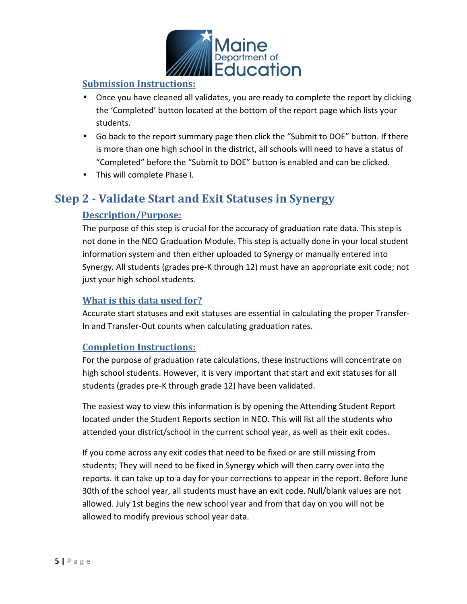

### **Submission Instructions:**

- Once you have cleaned all validates, you are ready to complete the report by clicking the 'Completed' button located at the bottom of the report page which lists your students.
- Go back to the report summary page then click the "Submit to DOE" button. If there is more than one high school in the district, all schools will need to have a status of "Completed" before the "Submit to DOE" button is enabled and can be clicked.
- This will complete Phase I.

## **Step 2 - Validate Start and Exit Statuses in Synergy**

### **Description/Purpose:**

The purpose of this step is crucial for the accuracy of graduation rate data. This step is not done in the NEO Graduation Module. This step is actually done in your local student information system and then either uploaded to Synergy or manually entered into Synergy. All students (grades pre-K through 12) must have an appropriate exit code; not just your high school students.

### **What is this data used for?**

Accurate start statuses and exit statuses are essential in calculating the proper Transfer-In and Transfer-Out counts when calculating graduation rates.

### **Completion Instructions:**

For the purpose of graduation rate calculations, these instructions will concentrate on high school students. However, it is very important that start and exit statuses for all students (grades pre-K through grade 12) have been validated.

The easiest way to view this information is by opening the Attending Student Report located under the Student Reports section in NEO. This will list all the students who attended your district/school in the current school year, as well as their exit codes.

If you come across any exit codes that need to be fixed or are still missing from students; They will need to be fixed in Synergy which will then carry over into the reports. It can take up to a day for your corrections to appear in the report. Before June 30th of the school year, all students must have an exit code. Null/blank values are not allowed. July 1st begins the new school year and from that day on you will not be allowed to modify previous school year data.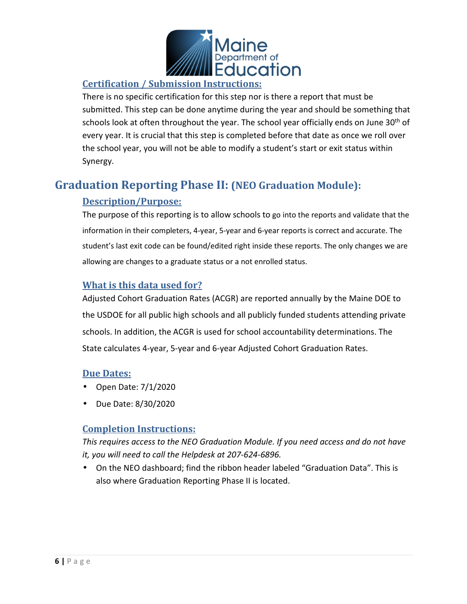

### **Certification / Submission Instructions:**

There is no specific certification for this step nor is there a report that must be submitted. This step can be done anytime during the year and should be something that schools look at often throughout the year. The school year officially ends on June 30<sup>th</sup> of every year. It is crucial that this step is completed before that date as once we roll over the school year, you will not be able to modify a student's start or exit status within Synergy.

# **Graduation Reporting Phase II: (NEO Graduation Module):**

### **Description/Purpose:**

The purpose of this reporting is to allow schools to go into the reports and validate that the information in their completers, 4-year, 5-year and 6-year reports is correct and accurate. The student's last exit code can be found/edited right inside these reports. The only changes we are allowing are changes to a graduate status or a not enrolled status.

### **What is this data used for?**

Adjusted Cohort Graduation Rates (ACGR) are reported annually by the Maine DOE to the USDOE for all public high schools and all publicly funded students attending private schools. In addition, the ACGR is used for school accountability determinations. The State calculates 4-year, 5-year and 6-year Adjusted Cohort Graduation Rates.

### **Due Dates:**

- Open Date: 7/1/2020
- Due Date: 8/30/2020

### **Completion Instructions:**

*This requires access to the NEO Graduation Module. If you need access and do not have it, you will need to call the Helpdesk at 207-624-6896.* 

• On the NEO dashboard; find the ribbon header labeled "Graduation Data". This is also where Graduation Reporting Phase II is located.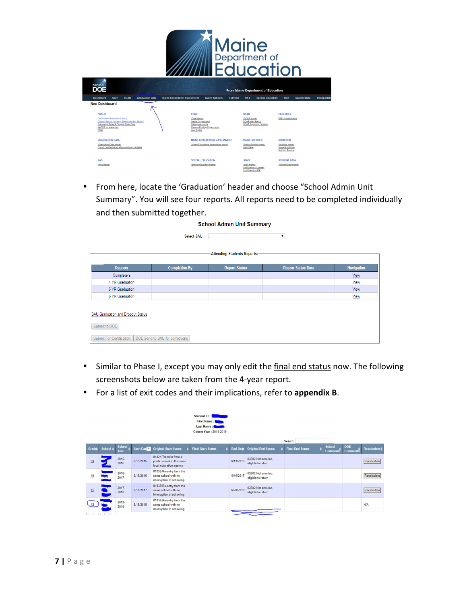

| ж<br>Maine<br><b>DOE</b>                                                                                                                                               |                 |                        |                                     |                                                                                                             |                  |                                     | From Maine Department of Education |                                                           |                     |             |
|------------------------------------------------------------------------------------------------------------------------------------------------------------------------|-----------------|------------------------|-------------------------------------|-------------------------------------------------------------------------------------------------------------|------------------|-------------------------------------|------------------------------------|-----------------------------------------------------------|---------------------|-------------|
| <b>Dashboard</b><br>Core                                                                                                                                               | <b>DC&amp;R</b> | <b>Graduation Data</b> | <b>Maine Educational Assessment</b> | <b>Maine Schools</b>                                                                                        | <b>Nutrition</b> | <b>RAS</b>                          | <b>Special Education</b>           | <b>Staff</b>                                              | <b>Student Data</b> | Transportat |
| <b>Neo Dashboard</b>                                                                                                                                                   |                 |                        |                                     |                                                                                                             |                  |                                     |                                    |                                                           |                     |             |
| <b>PUBLIC</b>                                                                                                                                                          |                 |                        | CORE                                |                                                                                                             |                  | <b>DC&amp;R</b>                     |                                    | <b>FACILITIES</b>                                         |                     |             |
| Certification Application Lookup<br>Contact Search (formerly Superintendent Search)<br>Graduation Rates & Dropout Rates Data<br>MeDOE on Maine.gov<br>P <sub>100</sub> |                 |                        |                                     | "Core Home"<br>Create Organization<br>Manage Accounts<br>Manage Existing Organization<br><b>User Rights</b> |                  | "DC&R Home"<br>DC&R Main Report     | DC&R Reporting Calendar            | EFF-10 Instructions                                       |                     |             |
| <b>GRADUATION DATA</b>                                                                                                                                                 |                 |                        |                                     | <b>MAINE EDUCATIONAL ASSESSMENT</b>                                                                         |                  | <b>MAINE SCHOOLS</b>                |                                    | <b>NUTRITION</b>                                          |                     |             |
| "Graduation Data Home"<br>District Certified Graduation and Dropout Rates                                                                                              |                 |                        |                                     | "Maine Educational Assessment Home"                                                                         |                  | Main Page                           | "Maine Schools Home"               | "Nutrition Home"<br>Manage Nutrition<br>Nutrition Reports |                     |             |
| <b>RAS</b>                                                                                                                                                             |                 |                        |                                     | <b>SPECIAL EDUCATION</b>                                                                                    |                  | <b>STAFF</b>                        |                                    | <b>STUDENT DATA</b>                                       |                     |             |
| "RAS Home"                                                                                                                                                             |                 |                        |                                     | "Special Education Home"                                                                                    |                  | "Staff Home"<br>Staff Details - FTE | Staff Details - Courses            | "Student Data Home"                                       |                     |             |

• From here, locate the 'Graduation' header and choose "School Admin Unit Summary". You will see four reports. All reports need to be completed individually and then submitted together.

| <b>School Admin Unit Summary</b>                                                                                                |                      |                      |                           |                   |  |  |  |  |  |
|---------------------------------------------------------------------------------------------------------------------------------|----------------------|----------------------|---------------------------|-------------------|--|--|--|--|--|
| Select SAU :                                                                                                                    |                      |                      |                           |                   |  |  |  |  |  |
| <b>Attending Students Reports:-</b>                                                                                             |                      |                      |                           |                   |  |  |  |  |  |
| <b>Reports</b>                                                                                                                  | <b>Completion By</b> | <b>Report Status</b> | <b>Report Status Date</b> | <b>Navigation</b> |  |  |  |  |  |
| Completers                                                                                                                      |                      |                      |                           | View              |  |  |  |  |  |
| 4 YR Graduation                                                                                                                 |                      |                      |                           | View              |  |  |  |  |  |
| 5 YR Graduation                                                                                                                 |                      |                      |                           | View              |  |  |  |  |  |
| 6 YR Graduation                                                                                                                 |                      |                      |                           | View              |  |  |  |  |  |
| <b>SAU Graduation and Dropout Status</b><br>Submit to DOE<br>DOE Send to SAU for corrections<br><b>Submit For Certification</b> |                      |                      |                           |                   |  |  |  |  |  |

- Similar to Phase I, except you may only edit the final end status now. The following screenshots below are taken from the 4-year report.
- For a list of exit codes and their implications, refer to **appendix B**.

|       |                     |                       |            |                                                                               | Student ID: 1<br>First Name:<br>Last Name:<br><b>Cohort Year: 2018-2019</b> |                 |                                           |                         |               |                 |                               |                          |
|-------|---------------------|-----------------------|------------|-------------------------------------------------------------------------------|-----------------------------------------------------------------------------|-----------------|-------------------------------------------|-------------------------|---------------|-----------------|-------------------------------|--------------------------|
|       |                     |                       |            |                                                                               |                                                                             |                 |                                           | Search:                 |               |                 |                               |                          |
| Grade | School $\triangleq$ | <b>School</b><br>Year | Start Date | <b>Original Start Status</b>                                                  | <b>Final Start Status</b>                                                   | <b>End Date</b> | <b>Original End Status</b>                | <b>Final End Status</b> | <b>School</b> | <b>Comments</b> | <b>DOE</b><br><b>Comments</b> | Recalculate $\triangleq$ |
| QQ    |                     | $2015 -$<br>2016      | 8/15/2015  | 01821: Transfer from a<br>public school in the same<br>local education agency |                                                                             | 6/13/2016       | 03502:Not enrolled.<br>eligible to return |                         |               |                 |                               | Recalculate              |
| 10    |                     | $2016 -$<br>2017      | 8/15/2016  | 01835:Re-entry from the<br>same school with no<br>interruption of schooling   |                                                                             | 6/16/2017       | 03502:Not enrolled.<br>eligible to return |                         |               |                 |                               | Recalculate              |
| 11    |                     | $2017 -$<br>2018      | 8/15/2017  | 01835:Re-entry from the<br>same school with no<br>interruption of schooling   |                                                                             | 6/20/2018       | 03502:Not enrolled.<br>eligible to return |                         |               |                 |                               | Recalculate              |
|       |                     | $2018 -$<br>2019      | 8/15/2018  | 01835:Re-entry from the<br>same school with no<br>interruption of schooling   |                                                                             |                 |                                           |                         |               |                 |                               | N/A                      |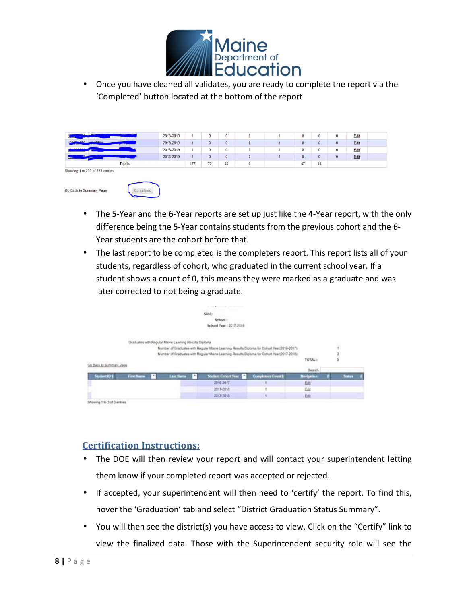

• Once you have cleaned all validates, you are ready to complete the report via the 'Completed' button located at the bottom of the report

| <b><i><u>Participation</u></i></b>      | 2018-2019 |             |    | 0                     |  |    |    |              | Edit |  |
|-----------------------------------------|-----------|-------------|----|-----------------------|--|----|----|--------------|------|--|
| <b>ALLIMORES</b><br>10 <sub>2</sub>     | 2018-2019 |             | 0  | $\mathbf{0}$          |  | 0  |    | $\mathbf{0}$ | Edit |  |
| <b>ABADDOCARD</b>                       | 2018-2019 |             |    | $\bf{0}$              |  |    |    | o            | Edit |  |
| <b><i>Contractor Service States</i></b> | 2018-2019 |             | 0  | $\mathbf{0}$          |  | 0  |    | $\mathbf{0}$ | Edit |  |
| <b>Totals</b>                           |           | ----<br>177 | 72 | <b>All Card</b><br>40 |  | 47 | 18 |              |      |  |

Showing 1 to 233 of 233 entries





- The 5-Year and the 6-Year reports are set up just like the 4-Year report, with the only difference being the 5-Year contains students from the previous cohort and the 6- Year students are the cohort before that.
- The last report to be completed is the completers report. This report lists all of your students, regardless of cohort, who graduated in the current school year. If a student shows a count of 0, this means they were marked as a graduate and was later corrected to not being a graduate.

|                             |                   |   |                                                       |   | sau:                                                                                       |                                                    |                                 |        |
|-----------------------------|-------------------|---|-------------------------------------------------------|---|--------------------------------------------------------------------------------------------|----------------------------------------------------|---------------------------------|--------|
|                             |                   |   |                                                       |   | School:<br>.                                                                               |                                                    |                                 |        |
|                             |                   |   |                                                       |   | School Year: 2017-2018                                                                     |                                                    |                                 |        |
|                             |                   |   |                                                       |   |                                                                                            |                                                    |                                 |        |
|                             |                   |   |                                                       |   |                                                                                            |                                                    |                                 |        |
|                             |                   |   | Graduates with Regular Maine Learning Results Diploma |   |                                                                                            | constitution of the company of the constitution of |                                 |        |
|                             |                   |   |                                                       |   | Number of Graduates with Regular Maine Learning Results Diploma for Cohort Year(2016-2017) |                                                    |                                 |        |
|                             |                   |   |                                                       |   | Number of Graduates with Regular Maine Learning Results Diploma for Cohort Year(2017-2018) |                                                    |                                 |        |
|                             |                   |   |                                                       |   |                                                                                            |                                                    | TOTAL:                          |        |
| Go Back to Summary Page     |                   |   |                                                       |   |                                                                                            |                                                    |                                 |        |
|                             |                   |   |                                                       |   |                                                                                            |                                                    | Search                          |        |
| Student (U.S.)              | <b>First Name</b> | ٠ | <b>Last Nume</b>                                      | ٠ | <b>Student Cubort Year</b>                                                                 | <b>Completion Count 2</b>                          | <b><i><u>Ravigation</u></i></b> | Status |
|                             |                   |   |                                                       |   | 2016-2017                                                                                  |                                                    | East                            |        |
|                             |                   |   |                                                       |   | 2017-2018                                                                                  |                                                    | Edit                            |        |
|                             |                   |   |                                                       |   | 2017-2018                                                                                  |                                                    | tar.                            |        |
| Showing 1 to 3 of 3 entries |                   |   |                                                       |   |                                                                                            |                                                    |                                 |        |

## **Certification Instructions:**

- The DOE will then review your report and will contact your superintendent letting them know if your completed report was accepted or rejected.
- If accepted, your superintendent will then need to 'certify' the report. To find this, hover the 'Graduation' tab and select "District Graduation Status Summary".
- You will then see the district(s) you have access to view. Click on the "Certify" link to view the finalized data. Those with the Superintendent security role will see the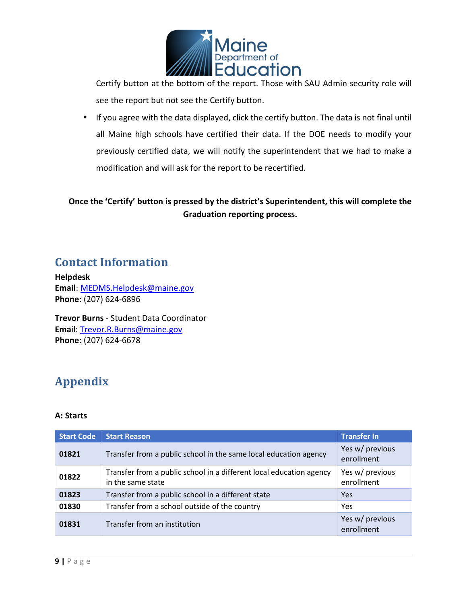

Certify button at the bottom of the report. Those with SAU Admin security role will see the report but not see the Certify button.

• If you agree with the data displayed, click the certify button. The data is not final until all Maine high schools have certified their data. If the DOE needs to modify your previously certified data, we will notify the superintendent that we had to make a modification and will ask for the report to be recertified.

### **Once the 'Certify' button is pressed by the district's Superintendent, this will complete the Graduation reporting process.**

# **Contact Information**

**Helpdesk Email**: MEDMS.Helpdesk@maine.gov **Phone**: (207) 624-6896

**Trevor Burns** - Student Data Coordinator **Ema**il: Trevor.R.Burns@maine.gov **Phone**: (207) 624-6678

# **Appendix**

#### **A: Starts**

| <b>Start Code</b> | <b>Start Reason</b>                                                                      | <b>Transfer In</b>            |
|-------------------|------------------------------------------------------------------------------------------|-------------------------------|
| 01821             | Transfer from a public school in the same local education agency                         | Yes w/ previous<br>enrollment |
| 01822             | Transfer from a public school in a different local education agency<br>in the same state | Yes w/ previous<br>enrollment |
| 01823             | Transfer from a public school in a different state                                       | Yes                           |
| 01830             | Transfer from a school outside of the country                                            | Yes                           |
| 01831             | Transfer from an institution                                                             | Yes w/ previous<br>enrollment |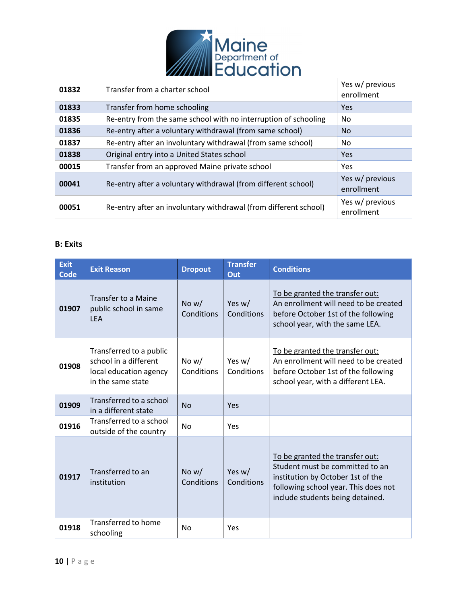

| 01832 | Transfer from a charter school                                   | Yes w/ previous<br>enrollment |
|-------|------------------------------------------------------------------|-------------------------------|
| 01833 | Transfer from home schooling                                     | Yes                           |
| 01835 | Re-entry from the same school with no interruption of schooling  | No                            |
| 01836 | Re-entry after a voluntary withdrawal (from same school)         | <b>No</b>                     |
| 01837 | Re-entry after an involuntary withdrawal (from same school)      | No.                           |
| 01838 | Original entry into a United States school                       | <b>Yes</b>                    |
| 00015 | Transfer from an approved Maine private school                   | Yes                           |
| 00041 | Re-entry after a voluntary withdrawal (from different school)    | Yes w/ previous<br>enrollment |
| 00051 | Re-entry after an involuntary withdrawal (from different school) | Yes w/ previous<br>enrollment |

#### **B: Exits**

| <b>Exit</b><br><b>Code</b> | <b>Exit Reason</b>                                                                              | <b>Dropout</b>        | <b>Transfer</b><br>Out | <b>Conditions</b>                                                                                                                                                                   |
|----------------------------|-------------------------------------------------------------------------------------------------|-----------------------|------------------------|-------------------------------------------------------------------------------------------------------------------------------------------------------------------------------------|
| 01907                      | <b>Transfer to a Maine</b><br>public school in same<br><b>LEA</b>                               | No $w/$<br>Conditions | Yes w/<br>Conditions   | To be granted the transfer out:<br>An enrollment will need to be created<br>before October 1st of the following<br>school year, with the same LEA.                                  |
| 01908                      | Transferred to a public<br>school in a different<br>local education agency<br>in the same state | No $w/$<br>Conditions | Yes w/<br>Conditions   | To be granted the transfer out:<br>An enrollment will need to be created<br>before October 1st of the following<br>school year, with a different LEA.                               |
| 01909                      | Transferred to a school<br>in a different state                                                 | No                    | Yes                    |                                                                                                                                                                                     |
| 01916                      | Transferred to a school<br>outside of the country                                               | No                    | Yes                    |                                                                                                                                                                                     |
| 01917                      | Transferred to an<br>institution                                                                | No $w/$<br>Conditions | Yes w/<br>Conditions   | To be granted the transfer out:<br>Student must be committed to an<br>institution by October 1st of the<br>following school year. This does not<br>include students being detained. |
| 01918                      | <b>Transferred to home</b><br>schooling                                                         | <b>No</b>             | Yes                    |                                                                                                                                                                                     |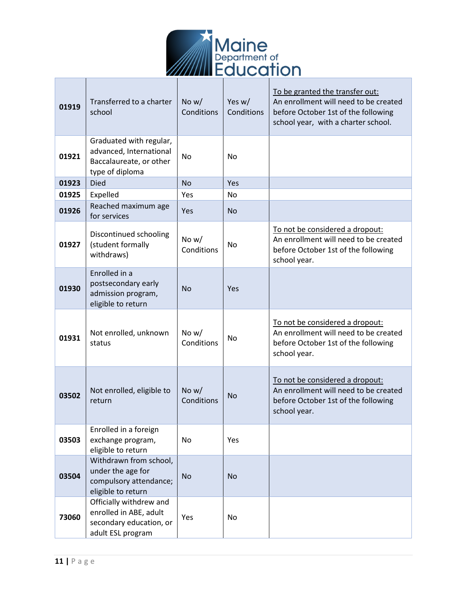

| 01919 | Transferred to a charter<br>school                                                                | No $w/$<br>Conditions | Yes w/<br>Conditions | To be granted the transfer out:<br>An enrollment will need to be created<br>before October 1st of the following<br>school year, with a charter school. |
|-------|---------------------------------------------------------------------------------------------------|-----------------------|----------------------|--------------------------------------------------------------------------------------------------------------------------------------------------------|
| 01921 | Graduated with regular,<br>advanced, International<br>Baccalaureate, or other<br>type of diploma  | No                    | <b>No</b>            |                                                                                                                                                        |
| 01923 | <b>Died</b>                                                                                       | <b>No</b>             | Yes                  |                                                                                                                                                        |
| 01925 | Expelled                                                                                          | Yes                   | <b>No</b>            |                                                                                                                                                        |
| 01926 | Reached maximum age<br>for services                                                               | Yes                   | <b>No</b>            |                                                                                                                                                        |
| 01927 | Discontinued schooling<br>(student formally<br>withdraws)                                         | No w/<br>Conditions   | N <sub>o</sub>       | To not be considered a dropout:<br>An enrollment will need to be created<br>before October 1st of the following<br>school year.                        |
| 01930 | Enrolled in a<br>postsecondary early<br>admission program,<br>eligible to return                  | <b>No</b>             | Yes                  |                                                                                                                                                        |
| 01931 | Not enrolled, unknown<br>status                                                                   | No $w/$<br>Conditions | No                   | To not be considered a dropout:<br>An enrollment will need to be created<br>before October 1st of the following<br>school year.                        |
| 03502 | Not enrolled, eligible to<br>return                                                               | No $w/$<br>Conditions | <b>No</b>            | To not be considered a dropout:<br>An enrollment will need to be created<br>before October 1st of the following<br>school year.                        |
| 03503 | Enrolled in a foreign<br>exchange program,<br>eligible to return                                  | No                    | Yes                  |                                                                                                                                                        |
| 03504 | Withdrawn from school,<br>under the age for<br>compulsory attendance;<br>eligible to return       | No                    | <b>No</b>            |                                                                                                                                                        |
| 73060 | Officially withdrew and<br>enrolled in ABE, adult<br>secondary education, or<br>adult ESL program | Yes                   | No                   |                                                                                                                                                        |

 $\Box$ 

T